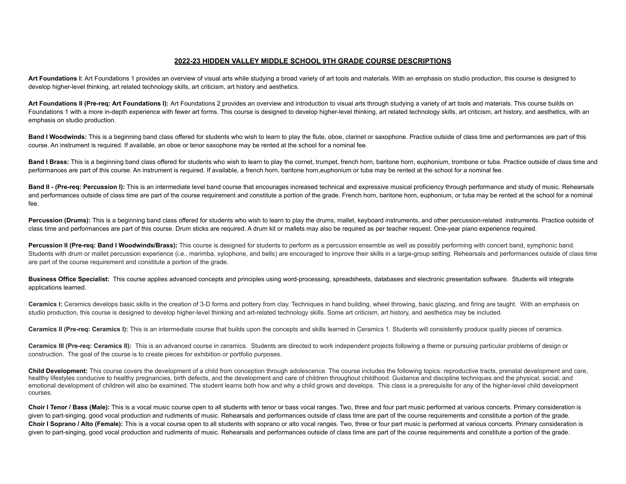## **2022-23 HIDDEN VALLEY MIDDLE SCHOOL 9TH GRADE COURSE DESCRIPTIONS**

Art Foundations I: Art Foundations 1 provides an overview of visual arts while studying a broad variety of art tools and materials. With an emphasis on studio production, this course is designed to develop higher-level thinking, art related technology skills, art criticism, art history and aesthetics.

Art Foundations II (Pre-reg: Art Foundations I): Art Foundations 2 provides an overview and introduction to visual arts through studying a variety of art tools and materials. This course builds on Foundations 1 with a more in-depth experience with fewer art forms. This course is designed to develop higher-level thinking, art related technology skills, art criticism, art history, and aesthetics, with an emphasis on studio production.

**Band I Woodwinds:** This is a beginning band class offered for students who wish to learn to play the flute, oboe, clarinet or saxophone. Practice outside of class time and performances are part of this course. An instrument is required. If available, an oboe or tenor saxophone may be rented at the school for a nominal fee.

Band I Brass: This is a beginning band class offered for students who wish to learn to play the cornet, trumpet, french horn, baritone horn, euphonium, trombone or tuba. Practice outside of class time and performances are part of this course. An instrument is required. If available, a french horn, baritone horn,euphonium or tuba may be rented at the school for a nominal fee.

Band II - (Pre-reg: Percussion I): This is an intermediate level band course that encourages increased technical and expressive musical proficiency through performance and study of music. Rehearsals and performances outside of class time are part of the course requirement and constitute a portion of the grade. French horn, baritone horn, euphonium, or tuba may be rented at the school for a nominal fee.

Percussion (Drums): This is a beginning band class offered for students who wish to learn to play the drums, mallet, keyboard instruments, and other percussion-related instruments. Practice outside of class time and performances are part of this course. Drum sticks are required. A drum kit or mallets may also be required as per teacher request. One-year piano experience required.

Percussion II (Pre-req: Band I Woodwinds/Brass): This course is designed for students to perform as a percussion ensemble as well as possibly performing with concert band, symphonic band. Students with drum or mallet percussion experience (i.e., marimba, xylophone, and bells) are encouraged to improve their skills in a large-group setting. Rehearsals and performances outside of class time are part of the course requirement and constitute a portion of the grade.

**Business Office Specialist:** This course applies advanced concepts and principles using word-processing, spreadsheets, databases and electronic presentation software. Students will integrate applications learned.

Ceramics I: Ceramics develops basic skills in the creation of 3-D forms and pottery from clay. Techniques in hand building, wheel throwing, basic glazing, and firing are taught. With an emphasis on studio production, this course is designed to develop higher-level thinking and art-related technology skills. Some art criticism, art history, and aesthetics may be included.

Ceramics II (Pre-reg: Ceramics I): This is an intermediate course that builds upon the concepts and skills learned in Ceramics 1. Students will consistently produce quality pieces of ceramics.

Ceramics III (Pre-req: Ceramics II): This is an advanced course in ceramics. Students are directed to work independent projects following a theme or pursuing particular problems of design or construction. The goal of the course is to create pieces for exhibition or portfolio purposes.

**Child Development:** This course covers the development of a child from conception through adolescence. The course includes the following topics: reproductive tracts, prenatal development and care, healthy lifestyles conducive to healthy pregnancies, birth defects, and the development and care of children throughout childhood. Guidance and discipline techniques and the physical, social, and emotional development of children will also be examined. The student learns both how and why a child grows and develops. This class is a prerequisite for any of the higher-level child development courses.

Choir I Tenor / Bass (Male): This is a vocal music course open to all students with tenor or bass vocal ranges. Two, three and four part music performed at various concerts. Primary consideration is given to part-singing, good vocal production and rudiments of music. Rehearsals and performances outside of class time are part of the course requirements and constitute a portion of the grade. Choir I Soprano / Alto (Female): This is a vocal course open to all students with soprano or alto vocal ranges. Two, three or four part music is performed at various concerts. Primary consideration is given to part-singing, good vocal production and rudiments of music. Rehearsals and performances outside of class time are part of the course requirements and constitute a portion of the grade.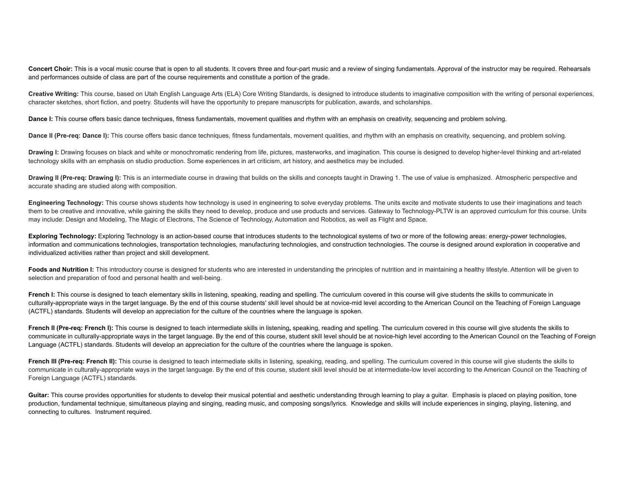Concert Choir: This is a vocal music course that is open to all students. It covers three and four-part music and a review of singing fundamentals. Approval of the instructor may be required. Rehearsals and performances outside of class are part of the course requirements and constitute a portion of the grade.

**Creative Writing:** This course, based on Utah English Language Arts (ELA) Core Writing Standards, is designed to introduce students to imaginative composition with the writing of personal experiences, character sketches, short fiction, and poetry. Students will have the opportunity to prepare manuscripts for publication, awards, and scholarships.

**Dance I:** This course offers basic dance techniques, fitness fundamentals, movement qualities and rhythm with an emphasis on creativity, sequencing and problem solving.

**Dance II (Pre-reg: Dance I): This course offers basic dance techniques, fitness fundamentals, movement qualities, and rhythm with an emphasis on creativity, sequencing, and problem solving.** 

Drawing I: Drawing focuses on black and white or monochromatic rendering from life, pictures, masterworks, and imagination. This course is designed to develop higher-level thinking and art-related technology skills with an emphasis on studio production. Some experiences in art criticism, art history, and aesthetics may be included.

Drawing II (Pre-reg: Drawing I): This is an intermediate course in drawing that builds on the skills and concepts taught in Drawing 1. The use of value is emphasized. Atmospheric perspective and accurate shading are studied along with composition.

**Engineering Technology:** This course shows students how technology is used in engineering to solve everyday problems. The units excite and motivate students to use their imaginations and teach them to be creative and innovative, while gaining the skills they need to develop, produce and use products and services. Gateway to Technology-PLTW is an approved curriculum for this course. Units may include: Design and Modeling, The Magic of Electrons, The Science of Technology, Automation and Robotics, as well as Flight and Space.

**Exploring Technology:** Exploring Technology is an action-based course that introduces students to the technological systems of two or more of the following areas: energy-power technologies, information and communications technologies, transportation technologies, manufacturing technologies, and construction technologies. The course is designed around exploration in cooperative and individualized activities rather than project and skill development.

Foods and Nutrition I: This introductory course is designed for students who are interested in understanding the principles of nutrition and in maintaining a healthy lifestyle. Attention will be given to selection and preparation of food and personal health and well-being.

**French I:** This course is designed to teach elementary skills in listening, speaking, reading and spelling. The curriculum covered in this course will give students the skills to communicate in culturally-appropriate ways in the target language. By the end of this course students' skill level should be at novice-mid level according to the American Council on the Teaching of Foreign Language (ACTFL) standards. Students will develop an appreciation for the culture of the countries where the language is spoken.

French II (Pre-reg: French I): This course is designed to teach intermediate skills in listening, speaking, reading and spelling. The curriculum covered in this course will give students the skills to communicate in culturally-appropriate ways in the target language. By the end of this course, student skill level should be at novice-high level according to the American Council on the Teaching of Foreign Language (ACTFL) standards. Students will develop an appreciation for the culture of the countries where the language is spoken.

French III (Pre-req: French II): This course is designed to teach intermediate skills in listening, speaking, reading, and spelling. The curriculum covered in this course will give students the skills to communicate in culturally-appropriate ways in the target language. By the end of this course, student skill level should be at intermediate-low level according to the American Council on the Teaching of Foreign Language (ACTFL) standards.

Guitar: This course provides opportunities for students to develop their musical potential and aesthetic understanding through learning to play a guitar. Emphasis is placed on playing position, tone production, fundamental technique, simultaneous playing and singing, reading music, and composing songs/lyrics. Knowledge and skills will include experiences in singing, playing, listening, and connecting to cultures. Instrument required.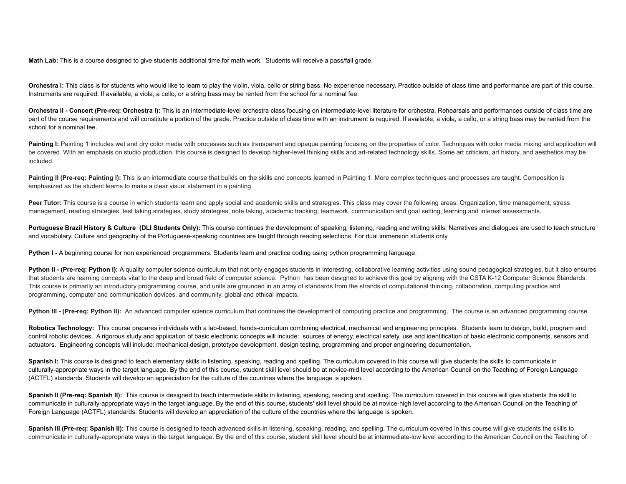**Math Lab:** This is a course designed to give students additional time for math work. Students will receive a pass/fail grade.

**Orchestra I:** This class is for students who would like to learn to play the violin, viola, cello or string bass. No experience necessary. Practice outside of class time and performance are part of this course. Instruments are required. If available, a viola, a cello, or a string bass may be rented from the school for a nominal fee.

Orchestra II - Concert (Pre-reg: Orchestra I): This is an intermediate-level orchestra class focusing on intermediate-level literature for orchestra. Rehearsals and performances outside of class time are part of the course requirements and will constitute a portion of the grade. Practice outside of class time with an instrument is required. If available, a viola, a cello, or a string bass may be rented from the school for a nominal fee.

Painting I: Painting 1 includes wet and dry color media with processes such as transparent and opaque painting focusing on the properties of color. Techniques with color media mixing and application will be covered. With an emphasis on studio production, this course is designed to develop higher-level thinking skills and art-related technology skills. Some art criticism, art history, and aesthetics may be included.

Painting II (Pre-reg: Painting I): This is an intermediate course that builds on the skills and concepts learned in Painting 1. More complex techniques and processes are taught. Composition is emphasized as the student learns to make a clear visual statement in a painting.

Peer Tutor: This course is a course in which students learn and apply social and academic skills and strategies. This class may cover the following areas: Organization, time management, stress management, reading strategies, test taking strategies, study strategies, note taking, academic tracking, teamwork, communication and goal setting, learning and interest assessments.

Portuguese Brazil History & Culture (DLI Students Only): This course continues the development of speaking, listening, reading and writing skills. Narratives and dialogues are used to teach structure and vocabulary. Culture and geography of the Portuguese-speaking countries are taught through reading selections. For dual immersion students only.

**Python I -** A beginning course for non experienced programmers. Students learn and practice coding using python programming language.

Python II - (Pre-req: Python I): A quality computer science curriculum that not only engages students in interesting, collaborative learning activities using sound pedagogical strategies, but it also ensures that students are learning concepts vital to the deep and broad field of computer science. Python has been designed to achieve this goal by aligning with the CSTA K-12 Computer Science Standards. This course is primarily an introductory programming course, and units are grounded in an array of standards from the strands of computational thinking, collaboration, computing practice and programming, computer and communication devices, and community, global and ethical impacts.

Python III - (Pre-req: Python II): An advanced computer science curriculum that continues the development of computing practice and programming. The course is an advanced programming course.

**Robotics Technology:** This course prepares individuals with a lab-based, hands-curriculum combining electrical, mechanical and engineering principles. Students learn to design, build, program and control robotic devices. A rigorous study and application of basic electronic concepts will include: sources of energy, electrical safety, use and identification of basic electronic components, sensors and actuators. Engineering concepts will include: mechanical design, prototype development, design testing, programming and proper engineering documentation.

Spanish I: This course is designed to teach elementary skills in listening, speaking, reading and spelling. The curriculum covered in this course will give students the skills to communicate in culturally-appropriate ways in the target language. By the end of this course, student skill level should be at novice-mid level according to the American Council on the Teaching of Foreign Language (ACTFL) standards. Students will develop an appreciation for the culture of the countries where the language is spoken.

Spanish II (Pre-req: Spanish II): This course is designed to teach intermediate skills in listening, speaking, reading and spelling. The curriculum covered in this course will give students the skill to communicate in culturally-appropriate ways in the target language. By the end of this course, students' skill level should be at novice-high level according to the American Council on the Teaching of Foreign Language (ACTFL) standards. Students will develop an appreciation of the culture of the countries where the language is spoken.

Spanish III (Pre-req: Spanish II): This course is designed to teach advanced skills in listening, speaking, reading, and spelling. The curriculum covered in this course will give students the skills to communicate in culturally-appropriate ways in the target language. By the end of this course, student skill level should be at intermediate-low level according to the American Council on the Teaching of